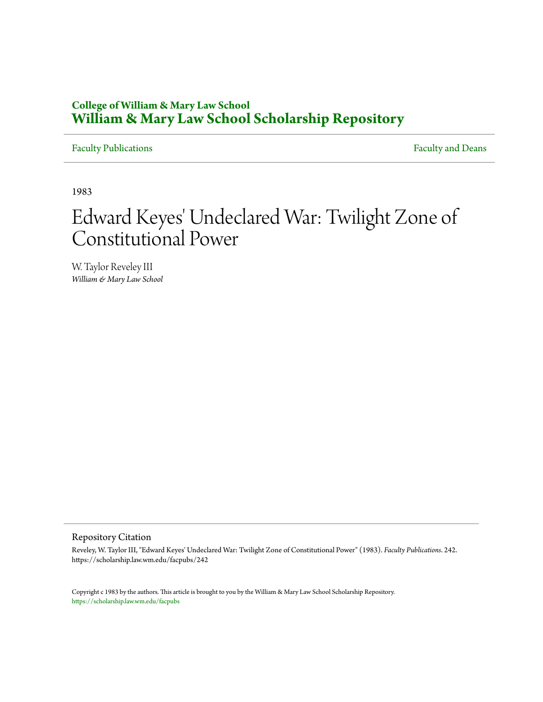## **College of William & Mary Law School [William & Mary Law School Scholarship Repository](https://scholarship.law.wm.edu)**

## [Faculty Publications](https://scholarship.law.wm.edu/facpubs) **Faculty** and Deans

1983

# Edward Keyes' Undeclared War: Twilight Zone of Constitutional Power

W. Taylor Reveley III *William & Mary Law School*

### Repository Citation

Reveley, W. Taylor III, "Edward Keyes' Undeclared War: Twilight Zone of Constitutional Power" (1983). *Faculty Publications*. 242. https://scholarship.law.wm.edu/facpubs/242

Copyright c 1983 by the authors. This article is brought to you by the William & Mary Law School Scholarship Repository. <https://scholarship.law.wm.edu/facpubs>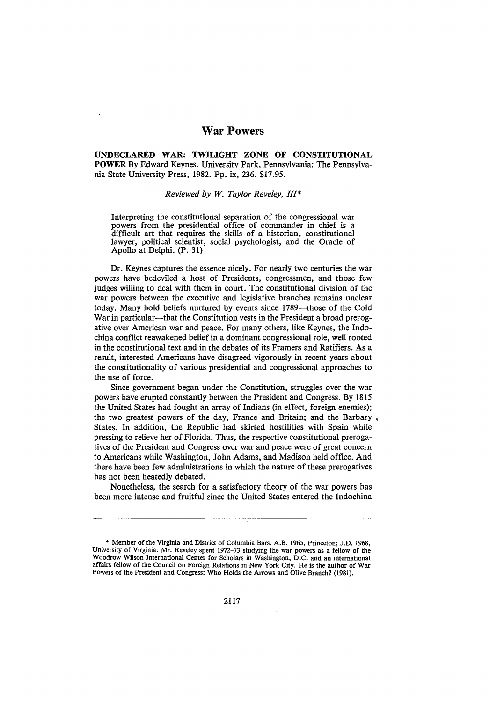## **War Powers**

**UNDECLARED WAR: TWILIGHT ZONE OF CONSTITUTIONAL POWER** By Edward Keynes. University Park, Pennsylvania: The Pennsylvania State University Press, 1982. Pp. ix, 236. \$17.95.

*Reviewed by W. Taylor Reveley, III\** 

Interpreting the constitutional separation of the congressional war powers from the presidential office of commander in chief is a difficult art that requires the skills of a historian, constitutional lawyer, political scientist, social psychologist, and the Oracle of Apollo at Delphi. (P. 31)

Dr. Keynes captures the essence nicely. For nearly two centuries the war powers have bedeviled a host of Presidents, congressmen, and those few judges willing to deal with them in court. The constitutional division of the war powers between the executive and legislative branches remains unclear today. Many hold beliefs nurtured by events since 1789-those of the Cold War in particular-that the Constitution vests in the President a broad prerogative over American war and peace. For many others, like Keynes, the Indochina conflict reawakened belief in a dominant congressional role, well rooted in the constitutional text and in the debates of its Framers and Ratifiers. As a result, interested Americans have disagreed vigorously in recent years about the constitutionality of various presidential and congressional approaches to the use of force.

Since government began under the Constitution, struggles over the war powers have erupted constantly between the President and Congress. By 1815 the United States had fought an array of Indians (in effect, foreign enemies); the two greatest powers of the day, France and Britain; and the Barbary , States. In addition, the Republic had skirted hostilities with Spain while pressing to relieve her of Florida. Thus, the respective constitutional prerogatives of the President and Congress over war and peace were of great concern to Americans while Washington, John Adams, and Madison held office. And there have been few administrations in which the nature of these prerogatives has not been heatedly debated.

Nonetheless, the search for a satisfactory theory of the war powers has been more intense and fruitful since the United States entered the Indochina

<sup>•</sup> Member of the Virginia and District of Columbia Bars. A.B. 1965, Princeton; J.D. 1968, University of Virginia. Mr. Reveley spent 1972-73 studying the war powers as a fellow of the Woodrow Wilson International Center for Scholars in Washington, D.C. and an international affairs fellow of the Council on Foreign Relations in New York City. He is the author of War Powers of the President and Congress: Who Holds the Arrows and Olive Branch? (1981).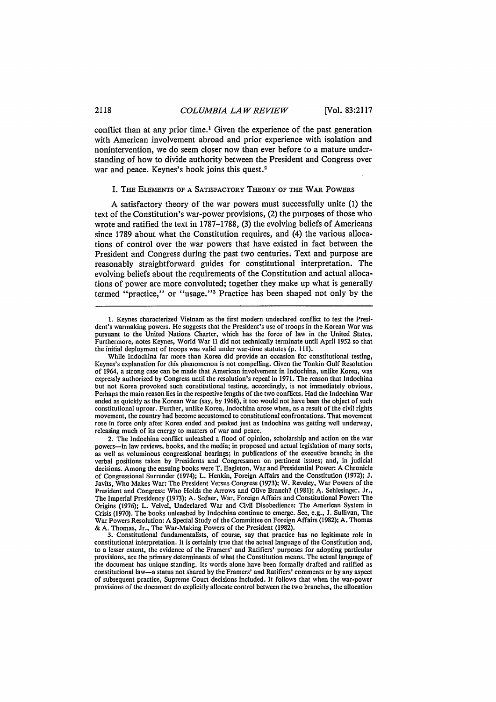conflict than at any prior time.<sup>1</sup> Given the experience of the past generation with American involvement abroad and prior experience with isolation and nonintervention, we do seem closer now than ever before to a mature understanding of how to divide authority between the President and Congress over war and peace. Keynes's book joins this quest.<sup>2</sup>

#### l. THE ELEMENTS OF A SATISFACTORY THEORY OF THE WAR POWERS

A satisfactory theory of the war powers must successfully unite (1) the text of the Constitution's war-power provisions, (2) the purposes of those who wrote and ratified the text in 1787-1788, (3) the evolving beliefs of Americans since 1789 about what the Constitution requires, and (4) the various allocations of control over the war powers that have existed in fact between the President and Congress during the past two centuries; Text and purpose are reasonably straightforward guides for constitutional interpretation. The evolving beliefs about the requirements of the Constitution and actual allocations of power are more convoluted; together they make up what is generally termed "practice," or "usage."3 Practice has been shaped not only by the

2. The Indochina conflict unleashed a flood of opinion, scholarship and action on the war powers-in law reviews, books, and the media; in proposed and actual legislation of many sorts, as well as voluminous congressional hearings; in publications of the executive branch; in the verbal positions taken by Presidents and Congressmen on pertinent issues; and, in judicial decisions. Among the ensuing books were T. Eagleton, War and Presidential Power: A Chronicle of Congressional Surrender (1974); L. Henkin, Foreign Affairs and the Constitution (1972); J. Javits, Who Makes War: The President Versus Congress (1973); W. Reveley, War Powers of the President and Congress: Who Holds the Arrows and Olive Branch? (1981); A. Schlesinger, Jr., The Imperial Presidency (1973); A. Sofaer, War, Foreign Affairs and Constitutional Power: The Origins (1976); L. Velvel, Undeclared War and Civil Disobedience: The American System in Crisis (1970). The books unleashed by Indochina continue to emerge. See, e.g., J. Sullivan, The War Powers Resolution: A Special Study of the Committee on Foreign Affairs (1982); A. Thomas & A. Thomas, Jr., The War-Making Powers of the President (1982).

3. Constitutional fundamentalists, of course, say that practice has no legitimate role in constitutional interpretation. It is certainly true that the actual language of the Constitution and, to a lesser extent, the evidence of the Framers' and Ratifiers' purposes for adopting particular provisions, are the primary determinants of what the Constitution means. The actual language of the document has unique standing. Its words alone have been formally drafted and ratified as constitutional law-a status not shared by the Framers' and Ratifiers' comments or by any aspect of subsequent practice, Supreme Court decisions included. It follows that when the war-power provisions of the document do explicitly allocate control between the two branches, the allocation

<sup>1.</sup> Keynes characterized Vietnam as the first modern undeclared conflict to test the President's warmaking powers. He suggests that the President's use of troops in the Korean War was pursuant to the United Nations Charter, which has the force of law in the United States. Furthermore, notes Keynes, World War 11 did not technically terminate until April 1952 so that the initial deployment of troops was valid under war-time statutes (p. Ill).

While Indochina far more than Korea did provide an occasion for constitutional testing, Keynes's explanation for this phenomenon is not compelling. Given the Tonkin Gulf Resolution of 1964, a strong case can be made that American involvement in Indochina, unlike Korea, was expressly authorized by Congress until the resolution's repeal in 1971. The reason that Indochina but not Korea provoked such constitutional testing, accordingly, is not immediately obvious. Perhaps the main reason lies in the respective lengths of the two conflicts. Had the Indochina War ended as quickly as the Korean War (say, by 1968), it too would not have been the object of such constitutional uproar. Further, unlike Korea, Indochina arose when, as a result of the civil rights movement, the country had become accustomed to constitutional confrontations. That movement rose in force only after Korea ended and peaked just as Indochina was getting well underway, releasing much of its energy to matters of war and peace.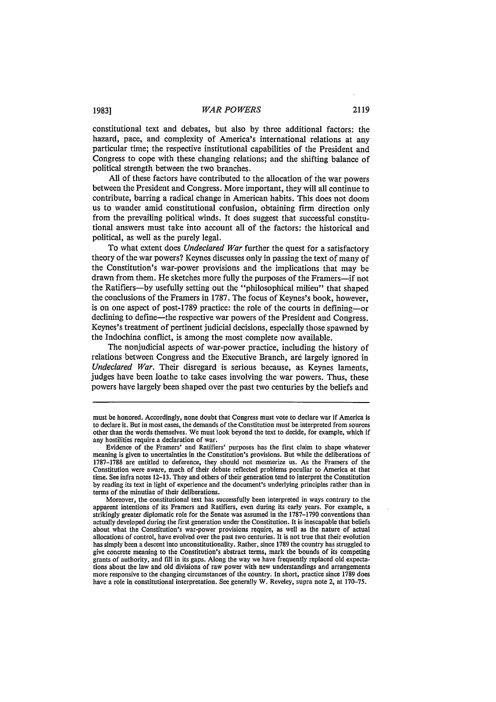constitutional text and debates, but also by three additional factors: the hazard, pace, and complexity of America's international relations at any particular time; the respective institutional capabilities of the President and Congress to cope with these changing relations; and the shifting balance of political strength between the two branches. \_

All of these factors have contributed to the allocation of the war powers between the President and Congress. More important, they will all continue to contribute, barring a radical change in American habits. This does not doom us to wander amid constitutional confusion, obtaining firm direction only from the prevailing political winds. It does suggest that successful constitutional answers must take into account all of the factors: the historical and political, as well as the purely legal.

To what extent does *Undeclared War* further the quest for a satisfactory theory of the war powers? Keynes discusses only in passing the text of many of the Constitution's war-power provisions and the implications that may be drawn from them. He sketches more fully the purposes of the Framers-if not the Ratifiers-by usefully setting out the "philosophical milieu" that shaped the conclusions of the Framers in 1787. The focus of Keynes's book, however, is on one aspect of post-1789 practice: the role of the courts in defining-or declining to define—the respective war powers of the President and Congress. Keynes's treatment of pertinent judicial decisions, especially those spawned by the Indochina conflict, is among the most complete now available.

The nonjudicial aspects of war-power practice, including the history of relations between Congress and the Executive Branch, are largely ignored in *Undeclared War.* Their disregard is serious because, as Keynes laments, judges have been loathe to take cases involving the war powers. Thus, these powers have largely been shaped over the past two centuries by the beliefs and

must be honored. Accordingly, none doubt that Congress must vote to declare war if America is to declare it. But in most cases, the demands of the Constitution must be interpreted from sources other than the words themselves. We must look beyond the text to decide, for example, which if any hostilities require a declaration of war.

Evidence of the Framers' and Ratifiers' purposes has the first claim to shape whatever meaning is given to uncertainties in the Constitution's provisions. But while the deliberations of 1787-1788 are entitled to deference, they should not mesmerize us. As the Framers of the Constitution were aware, much of their debate reflected problems peculiar to America at that time. See infra notes 12-13. They and others of their generation tend to interpret the Constitution by reading its text in light of experience and the document's underlying principles rather than in terms of the minutiae of their deliberations.

Moreover, the constitutional text has successfully been interpreted in ways contrary to the apparent intentions of its Framers and Ratifiers, even during its early years. For example, a strikingly greater diplomatic role for the Senate was assumed in the 1787-1790 conventions than actually developed during the first generation under the Constitution. It is inescapable that beliefs about what the Constitution's war-power provisions require, as well as the nature of actual allocations of control, have evolved over the past two centuries. It is not true that their evolution has simply been a descent into unconstitutionality. Rather, since 1789 the country has struggled to give concrete meaning to the Constitution's abstract terms, mark the bounds of its competing grants of authority, and fill in its gaps. Along the way we have frequently replaced old expectations about the law and old divisions of raw power with new understandings and arrangements more responsive to the changing circumstances of the country. In short, practice since 1789 does have a role in constitutional interpretation. See generally W. Reveley, supra note 2, at 170-75.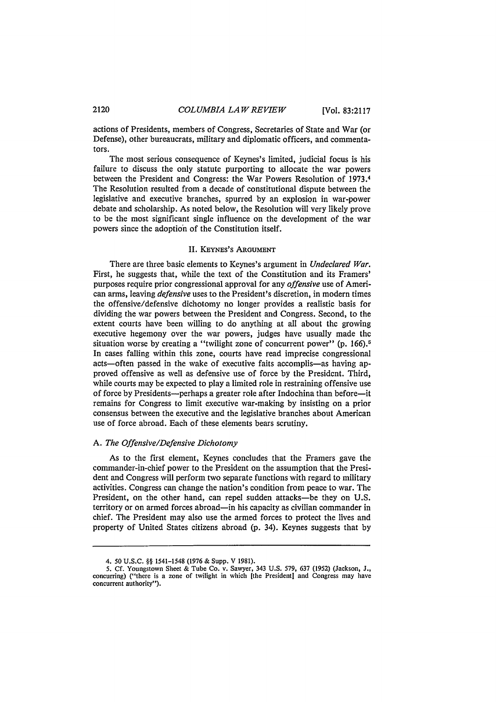actions of Presidents, members of Congress, Secretaries of State and War (or Defense), other bureaucrats, military and diplomatic officers, and commentators.

The most serious consequence of Keynes's limited, judicial focus is his failure to discuss the only statute purporting to allocate the war powers between the President and Congress: the War Powers Resolution of 1973.4 The Resolution resulted from a decade of constitutional dispute between the legislative and executive branches, spurred by an explosion in war-power debate and scholarship. As noted below, the Resolution will very likely prove to be the most significant single influence on the development of the war powers since the adoption of the Constitution itself.

#### II. KEYNEs's ARGUMENT

There are three basic elements to Keynes's argument in *Undeclared War.*  First, he suggests that, while the text of the Constitution and its Framers' purposes require prior congressional approval for any *offensive* use of American arms, leaving *defensive* uses to the President's discretion, in modern times the offensive/defensive dichotomy no longer provides a realistic basis for dividing the war powers between the President and Congress. Second, to the extent courts have been willing to do anything at all about the growing executive hegemony over the war powers, judges have usually made the situation worse by creating a "twilight zone of concurrent power" (p. 166).<sup>5</sup> In cases falling within this zone, courts have read imprecise congressional acts-often passed in the wake of executive faits accomplis-as having approved offensive as well as defensive use of force by the President. Third, while courts may be expected to play a limited role in restraining offensive use of force by Presidents-perhaps a greater role after Indochina than before-it remains for Congress to limit executive war-making by insisting on a prior consensus between the executive and the legislative branches about American use of force abroad. Each of these elements bears scrutiny.

#### A. *The Offensive/Defensive Dichotomy*

As to the first element, Keynes concludes that the Framers gave the commander-in-chief power to the President on the assumption that the President and Congress will perform two separate functions with regard to military activities. Congress can change the nation's condition from peace to war. The President, on the other hand, can repel sudden attacks-be they on U.S. territory or on armed forces abroad-in his capacity as civilian commander in chief. The President may also use the armed forces to protect the lives and property of United States citizens abroad (p. 34). Keynes suggests that by

<sup>4. 50</sup> U.S.C. §§ 1541-1548 (1976 & Supp. V 1981).

*<sup>5.</sup>* Cf. Youngstown Sheet & Tube Co. v. Sawyer, 343 U.S. 579, 637 (1952) (Jackson, J., concurring) ("there is a zone of twilight in which [the President] and Congress may have concurrent authority").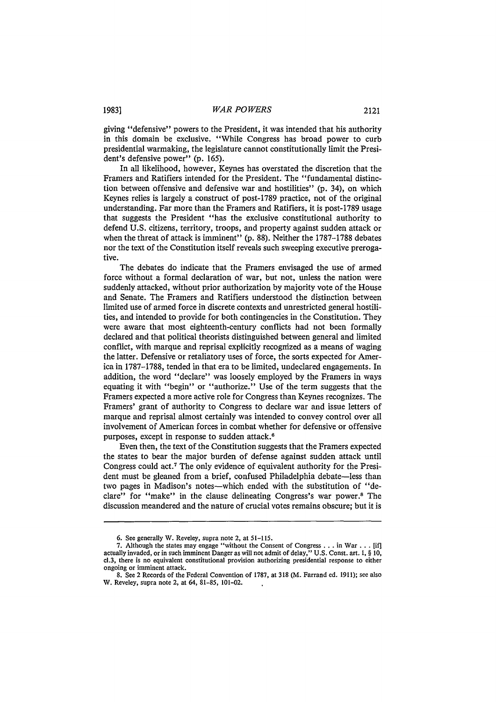giving "defensive" powers to the President, it was intended that his authority in this domain be exclusive. "While Congress has broad power to curb presidential warmaking, the legislature cannot constitutionally limit the President's defensive power" (p. 165).

In all likelihood, however, Keynes has overstated the discretion that the Framers and Ratifiers intended for the President. The "fundamental distinction between offensive and defensive war and hostilities" (p. 34), on which Keynes relies is largely a construct of post-1789 practice, not of the original understanding. Far more than the Framers and Ratifiers, it is post-1789 usage that suggests the President "has the exclusive constitutional authority to defend U.S. citizens, territory, troops, and property against sudden attack or when the threat of attack is imminent" (p. 88). Neither the 1787-1788 debates nor the text of the Constitution itself reveals such sweeping executive prerogative.

The debates do indicate that the Framers envisaged the use of armed force without a formal declaration of war, but not, unless the nation were suddenly attacked, without prior authorization by majority vote of the House and Senate. The Framers and Ratifiers understood the distinction between limited use of armed force in discrete contexts and unrestricted general hostilities, and intended to provide for both contingencies in the Constitution. They were aware that most eighteenth-century conflicts had not been formally declared and that political theorists distinguished between general and limited conflict, with marque and reprisal explicitly recognized as a means of waging the latter. Defensive or retaliatory uses of force, the sorts expected for America in 1787-1788, tended in that era to be limited, undeclared engagements. In addition, the word "declare" was loosely employed by the Framers in ways equating it with "begin" or "authorize." Use of the term suggests that the Framers expected a more active role for Congress than Keynes recognizes. The Framers' grant of authority to Congress to declare war and issue letters of marque and reprisal almost certainly was intended to convey control over all involvement of American forces in combat whether for defensive or offensive purposes, except in response to sudden attack. 6

Even then, the text of the Constitution suggests that the Framers expected the states to bear the major burden of defense against sudden attack until Congress could act.7 The only evidence of equivalent authority for the President must be gleaned from a brief, confused Philadelphia debate-less than two pages in Madison's notes-which ended with the substitution of "declare" for "make" in the clause delineating Congress's war power.<sup>8</sup> The discussion meandered and the nature of crucial votes remains obscure; but it is

<sup>6.</sup> See generally W. Reveley, supra note 2, at 51-ll5.

<sup>7.</sup> Although the states may engage "without the Consent of Congress . . . in War . . . [if] actually invaded, or in such imminent Danger as will not admit of delay," U.S. Canst. art. I, § 10, cl.3, there is no equivalent constitutional provision authorizing presidential response to either ongoing or imminent attack.

<sup>8.</sup> See 2 Records of the Federal Convention of 1787, at 318 (M. Farrand ed. 19ll); see also W. Reveley, supra note 2, at 64, 81-85, 101-02.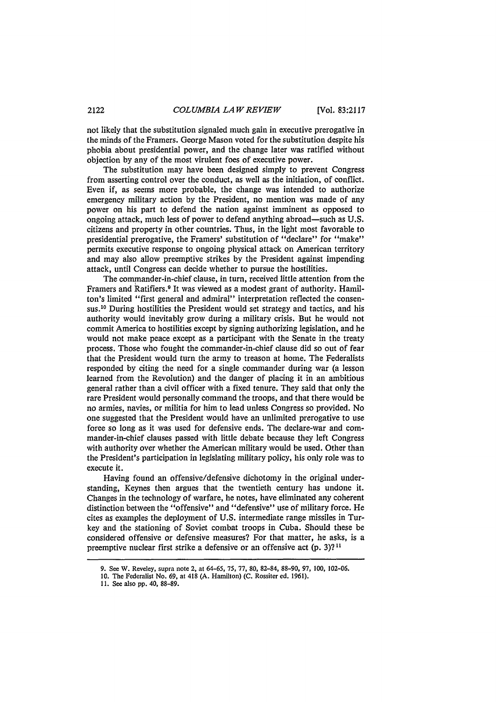not likely that the substitution signaled much gain in executive prerogative in the minds of the Framers. George Mason voted for the substitution despite his phobia about presidential power, and the change later was ratified without objection by any of the most virulent foes of executive power.

The substitution may have been designed simply to prevent Congress from asserting control over the conduct, as well as the initiation, of conflict. Even if, as seems more probable, the change was intended to authorize emergency military action by the President, no mention was made of any power on his part to defend the nation against imminent as opposed to ongoing attack, much less of power to defend anything abroad-such as U.S. citizens and property in other countries. Thus, in the light most favorable to presidential prerogative, the Framers' substitution of "declare" for "make" permits executive response to ongoing physical attack on American territory and may also allow preemptive strikes by the President against impending attack, until Congress can decide whether to pursue the hostilities.

The commander-in-chief clause, in turn, received little attention from the Framers and Ratifiers.9 It was viewed as a modest grant of authority. Hamilton's limited "first general and admiral" interpretation reflected the consensus.<sup>10</sup> During hostilities the President would set strategy and tactics, and his authority would inevitably grow during a military crisis. But he would not commit America to hostilities except by signing authorizing legislation, and he would not make peace except as a participant with the Senate in the treaty process. Those who fought the commander-in-chief clause did so out of fear that the President would turn the army to treason at home. The Federalists responded by citing the need for a single commander during war (a lesson learned from the Revolution) and the danger of placing it in an ambitious general rather than a civil officer with a fixed tenure. They said that only the rare President would personally command the troops, and that there would be no armies, navies, or militia for him to lead unless Congress so provided. No one suggested that the President would have an unlimited prerogative to use foree so long as it was used for defensive ends. The declare-war and commander-in-chief clauses passed with little debate because they left Congress with authority over whether the American military would be used. Other than the President's participation in legislating military policy, his only role was to execute it.

Having found an offensive/defensive dichotomy in the original understanding, Keynes then argues that the twentieth century has undone it. Changes in the technology of warfare, he notes, have eliminated any coherent distinction between the "offensive" and "defensive" use of military force. He cites as examples the deployment of U.S. intermediate range missiles in Turkey and the stationing of Soviet combat troops in Cuba. Should these be considered offensive or defensive measures? For that matter, he asks, is a preemptive nuclear first strike a defensive or an offensive act (p. 3)? <sup>11</sup>

<sup>9.</sup> See W. Reveley, supra note 2, at 64-65, 75, 77, 80, 82-84, 88-90, 97, 100, 102-06.

<sup>10.</sup> The Federalist No. 69, at 418 (A. Hamilton) (C. Rossiter ed. 1961).

<sup>11.</sup> See also pp. 40, 88-89.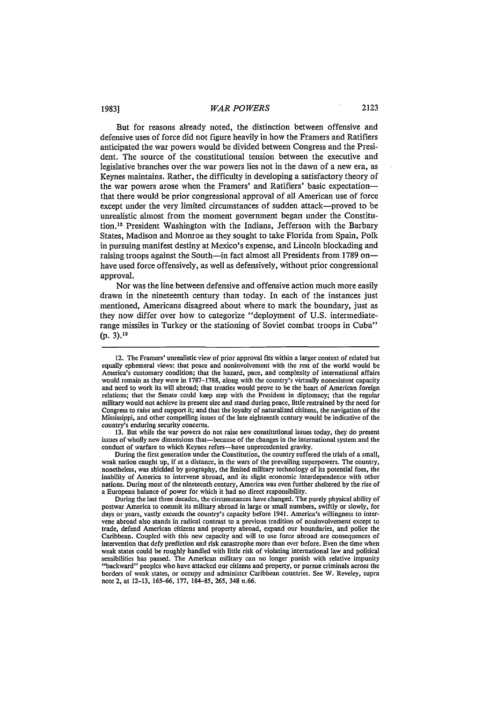But for reasons already noted, the distinction between offensive and defensive uses of force did not figure heavily in how the Framers and Ratifiers anticipated the war powers would be divided between Congress and the President. The source of the constitutional tension between the executive and legislative branches over the war powers lies not in the dawn of a new era, as Keynes maintains. Rather, the difficulty in developing a satisfactory theory of the war powers arose when the Framers' and Ratifiers' basic expectationthat there would be prior congressional approval of all American use of force except under the very limited circumstances of sudden attack-proved to be unrealistic almost from the moment government began under the Constitution.12 President Washington with the Indians, Jefferson with the Barbary States, Madison and Monroe as they sought to take Florida from Spain, Polk in pursuing manifest destiny at Mexico's expense, and Lincoln blockading and raising troops against the South-in fact almost all Presidents from 1789 onhave used force offensively, as well as defensively, without prior congressional approval.

Nor was the line between defensive and offensive action much more easily drawn in the nineteenth century than today. In each of the instances just mentioned, Americans disagreed about where to mark the boundary, just as they now differ over how to categorize "deployment of U.S. intermediaterange missiles in Turkey or the stationing of Soviet combat troops in Cuba"  $(p. 3).^{13}$ 

13. But while the war powers do not raise new constitutional issues today, they do present issues of wholly new dimensions that-because of the changes in the international system and the conduct of warfare to which Keynes refers-have unprecedented gravity.

During the first generation under the Constitution, the country suffered the trials of a small, weak nation caught up, if at a distance, in the wars of the prevailing superpowers. The country, nonetheless, was shielded by geography, the limited military technology of its potential foes, the inability of America to intervene abroad, and its slight economic interdependence with other nations. During most of the nineteenth century, America was even further sheltered by the rise of a European balance of power for which it had no direct responsibility.

During the last three decades, the circumstances have changed. The purely physical ability of postwar America to commit its military abroad in large or small numbers, swiftly or slowly, for days or years, vastly exceeds the country's capacity before 1941. America's willingness to intervene abroad also stands in radical contrast to a previous tradition of nouinvolvement except to trade, defend American citizens and property abroad, expand our boundaries, and police the Caribbean. Coupled with this new capacity and will to use force abroad are consequences of intervention that defy prediction and risk catastrophe more than ever before. Even the time when weak states could be roughly handled with little risk of violating international law and political sensibilities has passed. The American military can no longer punish with relative impunity "backward" peoples who have attacked our citizens and property, or pursue criminals across the borders of weak states, or occupy and administer Caribbean countries. See W. Reveley, supra note 2, at 12-13, 165-66, 177, 184-85, 265, 348 n.66.

<sup>12.</sup> The Framers' unrealistic view of prior approval fits within a larger context of related but equally ephemeral views: that peace and noninvolvement with the rest of the world would be America's customary condition; that the hazard, pace, and complexity of international affairs would remain as they were in 1787-1788, along with the country's virtually nonexistent capacity and need to work its will abroad; that treaties would prove to be the heart of American foreign relations; that the Senate could keep step with the President in diplomacy; that the regular military would not achieve its present size and stand during peace, little restrained by the need for Congress to raise and support it; and that the loyalty of naturalized citizens, the navigation of the Mississippi, and other compelling issues of the late eighteenth century would be indicative of the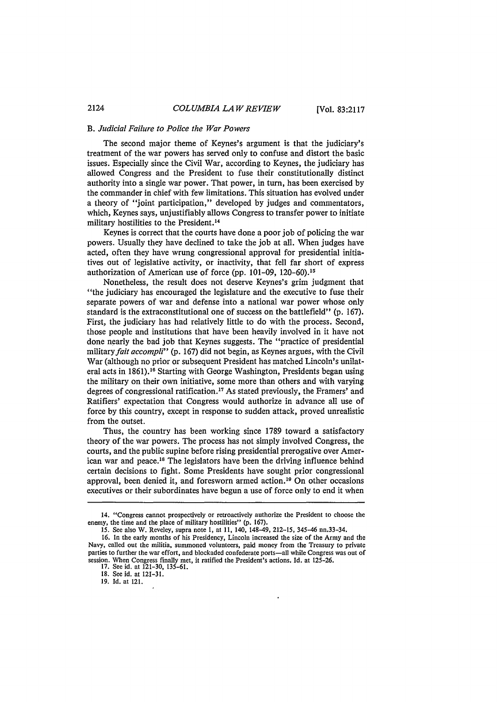#### B. *Judicial Failure to Police the War Powers*

The second major theme of Keynes's argument is that the judiciary's treatment of the war powers has served only to confuse and distort the basic issues. Especially since the Civil War, according to Keynes, the judiciary has allowed Congress and the President to fuse their constitutionally distinct authority into a single war power. That power, in turn, has been exercised by the commander in chief with few limitations. This situation has evolved under a theory of "joint participation," developed by judges and commentators, which, Keynes says, unjustifiably allows Congress to transfer power to initiate military hostilities to the President.<sup>14</sup>

Keynes is correct that the courts have done a poor job of policing the war powers. Usually they have declined to take the job at all. When judges have acted, often they have wrung congressional approval for presidential initiatives out of legislative activity, or inactivity, that fell far short of express authorization of American use of force (pp. 101-09, 120-60).15

Nonetheless, the result does not deserve Keynes's grim judgment that "the judiciary has encouraged the legislature and the executive to fuse their separate powers of war and defense into a national war power whose only standard is the extraconstitutional one of success on the battlefield" (p. 167). First, the judiciary has had relatively little to do with the process. Second, those people and institutions that have been heavily involved in it have not done nearly the bad job that Keynes suggests. The "practice of presidential military *fait accompli"* (p. 167) did not begin, as Keynes argues, with the Civil War (although no prior or subsequent President has matched Lincoln's unilateral acts in 1861).<sup>16</sup> Starting with George Washington, Presidents began using the military on their own initiative, some more than others and with varying degrees of congressional ratification. 17 As stated previously, the Framers' and Ratifiers' expectation that Congress would authorize in advance all use of force by this country, except in response to sudden attack, proved unrealistic from the outset.

Thus, the country has been working since 1789 toward a satisfactory theory of the war powers. The process has not simply involved Congress, the courts, and the public supine before rising presidential prerogative over American war and peace.18 The legislators have been the driving influence behind certain decisions to fight. Some Presidents have sought prior congressional approval, been denied it, and foresworn armed action. 19 On other occasions executives or their subordinates have begun a use of force only to end it when

<sup>14. &</sup>quot;Congress cannot prospectively or retroactively authorize the President to choose the enemy, the time and the place of military hostilities" (p. 167).

<sup>15.</sup> See also W. Reveley, supra note 1, at 11, 140, 148-49, 212-15, 345-46 nn.33-34.

<sup>16. 1</sup>n the early months of his Presidency, Lincoln increased the size of the Army and the Navy, called out the militia, summoned volunteers, paid money from the Treasury to private parties to further the war effort, and blockaded confederate ports-all while Congress was out of session. When Congress finally met, it ratified the President's actions. Id. at 125-26.

<sup>17.</sup> See id. at 121-30, 135-61.

<sup>18.</sup> See id. at 121-31.

<sup>19.</sup> ld. at 121.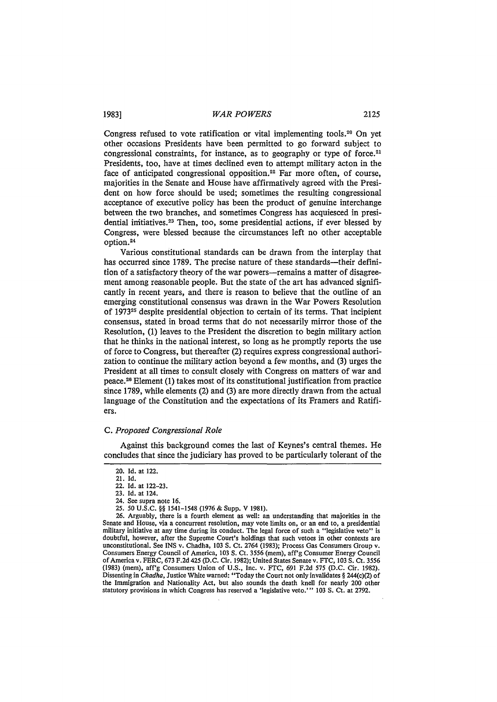Congress refused to vote ratification or vital implementing tools.<sup>20</sup> On yet other occasions Presidents have been permitted to go forward subject to congressional constraints, for instance, as to geography or type of force.<sup>21</sup> Presidents, too, have at times declined even to attempt military acton in the face of anticipated congressional opposition.<sup>22</sup> Far more often, of course, majorities in the Senate and House have affirmatively agreed with the President on how force should be used; sometimes the resulting congressional acceptance of executive policy has been the product of genuine interchange between the two branches, and sometimes Congress has acquiesced in presidential initiatives.23 Then, too, some presidential actions, if ever blessed by Congress, were blessed because the circumstances left no other acceptable option.24

Various constitutional standards can be drawn from the interplay that has occurred since 1789. The precise nature of these standards—their definition of a satisfactory theory of the war powers-remains a matter of disagreement among reasonable people. But the state of the art has advanced significantly in recent years, and there is reason to believe that the outline of an emerging constitutional consensus was drawn in the War Powers Resolution of 197325 despite presidential objection to certain of its terms. That incipient consensus, stated in broad terms that do not necessarily mirror those of the Resolution, (1) leaves to the President the discretion to begin military action that he thinks in the national interest, so long as he promptly reports the use of force to Congress, but thereafter (2) requires express congressional authorization to continue the military action beyond a few months, and (3) urges the President at all times to consult closely with Congress on matters of war and peace. 26 Element (1) takes most of its constitutional justification from practice since 1789, while elements (2) and (3) are more directly drawn from the actual language of the Constitution and the expectations of its Framers and Ratifiers.

#### C. *Proposed Congressional Role*

Against this background comes the last of Keynes's central themes. He concludes that since the judiciary has proved to be particularly tolerant of the

<sup>20.</sup> Id. at 122.

<sup>21.</sup> Id.

<sup>22.</sup> Id. at 122-23.

<sup>23.</sup> Id. at 124.

<sup>24.</sup> See supra note 16.

<sup>25. 50</sup> U.S.C. §§ 1541-1548 (1976 & Supp. V 1981).

<sup>26.</sup> Arguably, there is a fourth element as well: an understanding that majorities in the Senate and House, via a concurrent resolution, may vote limits on, or an end to, a presidential military initiative at any time during its conduct. The legal force of such a "legislative veto" is doubtful, however, after the Supreme Court's holdings that such vetoes in other contexts are unconstitutional. See INS v. Chadha, 103 S. Ct. 2764 (1983); Process Gas Consumers Group v. Consumers Energy Council of America, 103 S. Ct. 3556 (mem}, aff'g Consumer Energy Council of America v. FERC, 673 F.2d 425 (D.C. Cir. 1982); United States Senate v. FTC, 103 S. Ct. 3556 (1983) (mem}, aff'g Consumers Union of U.S., Inc. v. FTC, 691 F.2d 575 (D.C. Cir. 1982). Dissenting in Chadha, Justice White warned: "Today the Court not only invalidates § 244(c)(2) of the Immigration and Nationality Act, but also sounds the death knell for nearly 200 other statutory provisions in which Congress has reserved a 'legislative veto.'" 103 S. Ct. at 2792.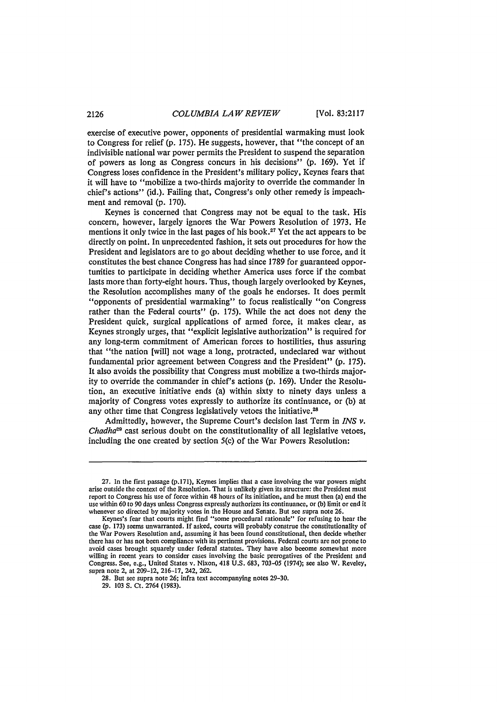exercise of executive power, opponents of presidential warmaking must look to Congress for relief (p. 175). He suggests, however, that "the concept of an indivisible national war power permits the President to suspend the separation of powers as long as Congress concurs in his decisions" (p. 169). Yet if Congress loses confidence in the President's military policy, Keynes fears that it will have to "mobilize a two-thirds majority to override the commander in chief's actions" (id.). Failing that, Congress's only other remedy is impeachment and removal (p. 170).

Keynes is concerned that Congress may not be equal to the task. His concern, however, largely ignores the War Powers Resolution of 1973. He mentions it only twice in the last pages of his book.27 Yet the act appears to be directly on point. In unprecedented fashion, it sets out procedures for how the President and legislators are to go about deciding whether to use force, and it constitutes the best chance Congress has had since 1789 for guaranteed opportunities to participate in deciding whether America uses force if the combat lasts more than forty-eight hours. Thus, though largely overlooked by Keynes, the Resolution accomplishes many of the goals he endorses. It does permit "opponents of presidential warmaking" to focus realistically "on Congress rather than the Federal courts" (p. 175). While the act does not deny the President quick, surgical applications of armed force, it makes clear, as Keynes strongly urges, that "explicit legislative authorization" is required for any long-term commitment of American forces to hostilities, thus assuring that "the nation [wiii] not wage a long, protracted, undeclared war without fundamental prior agreement between Congress and the President" (p. 175). It also avoids the possibility that Congress must mobilize a two-thirds majority to override the commander in chief's actions (p. 169). Under the Resolution, an executive initiative ends (a) within sixty to ninety days unless a majority of Congress votes expressly to authorize its continuance, or (b) at any other time that Congress legislatively vetoes the initiative.<sup>28</sup>

Admittedly, however, the Supreme Court's decision last Term in *INS v. Chadha29* cast serious doubt on the constitutionality of all legislative vetoes, including the one created by section 5(c) of the War Powers Resolution:

<sup>27.</sup> In the first passage (p.171), Keynes implies that a case involving the war powers might arise outside the context of the Resolution. That is unlikely given its structure: the President must report to Congress his use of force within 48 hours of its initiation, and he must then (a) end the usc within 60 to 90 days unless Congress expressly authorizes its continuance, or (b) limit or end it whenever so directed by majority votes in the House and Senate. But sec supra note 26.

Keynes's fear that courts might find "some procedural rationale" for refusing to hear the case (p. 173) seems unwarranted. If asked, courts will probably construe the constitutionality of the War Powers Resolution and, assuming it has been found constitutional, then decide whether there has or has not been compliance with its pertinent provisions. Federal courts are not prone to avoid cases brought squarely under federal statutes. They have also become somewhat more willing in recent years to consider cases involving the basic prerogatives of the President and Congress. See, e.g., United States v. Nixon, 418 U.S. 683, 703-05 (1974); see also W. Rcvclcy, supra note 2, at 209-12, 216-17, 242, 262.

<sup>28.</sup> But see supra note 26; infra text accompanying notes 29-30.

<sup>29. 103</sup> S. Ct. 2764 (1983).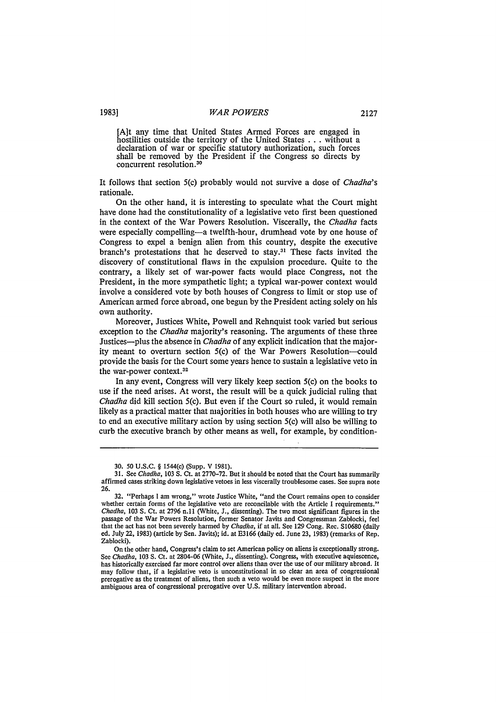[A]t any time that United States Armed Forces are engaged in hostilities outside the territory of the United States ... without a declaration of war or specific statutory authorization, such forces shall be removed by the President if the Congress so directs by concurrent resolution.<sup>30</sup>

It follows that section 5(c) probably would not survive a dose of Chadha's rationale.

On the other hand, it is interesting to speculate what the Court might have done had the constitutionality of a legislative veto first been questioned in the context of the War Powers Resolution. Viscerally, the *Chadha* facts were especially compelling-a twelfth-hour, drumhead vote by one house of Congress to expel a benign alien from this country, despite the executive branch's protestations that he deserved to stay.31 These facts invited the discovery of constitutional flaws in the expulsion procedure. Quite to the contrary, a likely set of war-power facts would place Congress, not the President, in the more sympathetic light; a typical war-power context would involve a considered vote by both houses of Congress to limit or stop use of American armed force abroad, one begun by the President acting solely on his own authority.

Moreover, Justices White, Powell and Rehnquist took varied but serious exception to the *Chadha* majority's reasoning. The arguments of these three Justices--plus the absence in *Chadha* of any explicit indication that the majority meant to overturn section 5(c) of the War Powers Resolution-could provide the basis for the Court some years hence to sustain a legislative veto in the war-power context.<sup>32</sup>

In any event, Congress will very likely keep section 5(c) on the books to use if the need arises. At worst, the result will be a quick judicial ruling that Chadha did kill section 5(c). But even if the Court so ruled, it would remain likely as a practical matter that majorities in both houses who are willing to try to end an executive military action by using section 5(c) will also be willing to curb the executive branch by other means as well, for example, by condition-

<sup>30. 50</sup> U.S.C. § 1544(c) (Supp. V 1981).

<sup>31.</sup> See *Chadha,* 103 S. Ct. at 2770-72. But it should be noted that the Court has summarily affirmed cases striking down legislative vetoes in less viscerally troublesome cases. See supra note 26.

<sup>32. &</sup>quot;Perhaps I am wrong," wrote Justice White, "and the Court remains open to consider whether certain forms of the legislative veto are reconcilable with the Article I requirements." *Chadha*, 103 S. Ct. at 2796 n.11 (White, J., dissenting). The two most significant figures in the passage of the War Powers Resolution, former Senator Javits and Congressman Zablocki, feel that the act has not been severely harmed by *Chadha,* if at all. See 129 Cong. Rec. S10680 (daily ed. July 22, 1983) (article by Sen. Javits); id. at E3166 (daily ed. June 23, 1983) (remarks of Rep. Zablocki).

On the other hand, Congress's claim to set American policy on aliens is exceptionally strong. See *Chadha,* 103 S. Ct. at 2804-06 (White, J., dissenting). Congress, with executive aquiescence, has historically exercised far more control over aliens than over the use of our military abroad. It may follow that, if a legislative veto is unconstitutional in so clear an area of congressional prerogative as the treatment of aliens, then such a veto would be even more suspect in the more ambiguous area of congressional prerogative over U.S. military intervention abroad.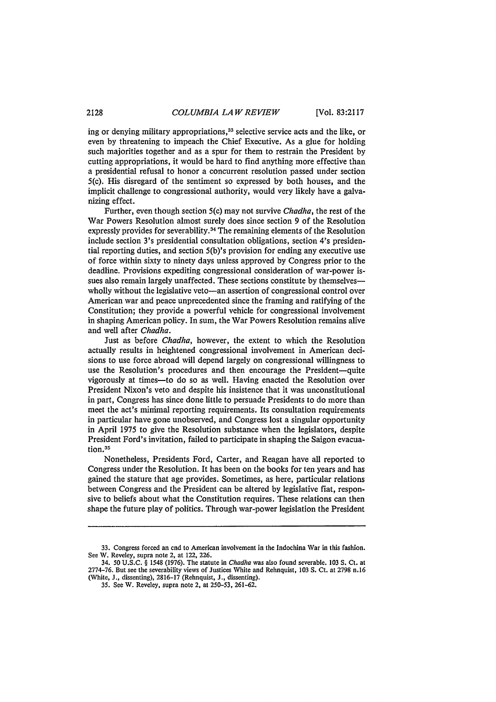ing or denying military appropriations, 33 selective service acts and the like, or even by threatening to impeach the Chief Executive. As a glue for holding such majorities together and as a spur for them to restrain the President by cutting appropriations, it would be hard to find anything more effective than a presidential refusal to honor a concurrent resolution passed under section 5(c). His disregard of the sentiment so expressed by both houses, and the implicit challenge to congressional authority, would very likely have a galvanizing effect.

Further, even though section 5(c) may not survive *Chadha,* the rest of the War Powers Resolution almost surely does since section 9 of the Resolution expressly provides for severability. 34 The remaining elements of the Resolution include section 3's presidential consultation obligations, section 4's presidential reporting duties, and section 5(b)'s provision for ending any executive use of force within sixty to ninety days unless approved by Congress prior to the deadline. Provisions expediting congressional consideration of war-power issues also remain largely unaffected. These sections constitute by themselveswholly without the legislative veto-an assertion of congressional control over American war and peace unprecedented since the framing and ratifying of the Constitution; they provide a powerful vehicle for congressional involvement in shaping American policy. In sum, the War Powers Resolution remains alive and well after *Chadha.* 

Just as before *Chadha,* however, the extent to which the Resolution actually results in heightened congressional involvement in American decisions to use force abroad will depend largely on congressional willingness to use the Resolution's procedures and then encourage the President-quite vigorously at times-to do so as well. Having enacted the Resolution over President Nixon's veto and despite his insistence that it was unconstitutional in part, Congress has since done little to persuade Presidents to do more than meet the act's minimal reporting requirements. Its consultation requirements in particular have gone unobserved, and Congress lost a singular opportunity in April 1975 to give the Resolution substance when the legislators, despite President Ford's invitation, failed to participate in shaping the Saigon evacuation.35

Nonetheless, Presidents Ford, Carter, and Reagan have all reported to Congress under the Resolution. It has been on the books for ten years and has gained the stature that age provides. Sometimes, as here, particular relations between Congress and the President can be altered by legislative fiat, responsive to beliefs about what the Constitution requires. These relations can then shape the future play of politics. Through war-power legislation the President

<sup>33.</sup> Congress forced an end to American involvement in the Indochina War in this fashion. See W. Reveley, supra note 2, at 122, 226.

<sup>34.</sup> *50* U.S.C. § 1548 (1976). The statute in *Chadha* was also found severable. 103 S. Ct. at 2774-76. But see the severability views of Justices White and Rehnquist, 103 S. Ct. at 2798 n.16 (White, J., dissenting), 2816-17 (Rehnquist, J., dissenting).

<sup>35.</sup> See W. Reveley, supra note 2, at 250-53, 261-62.